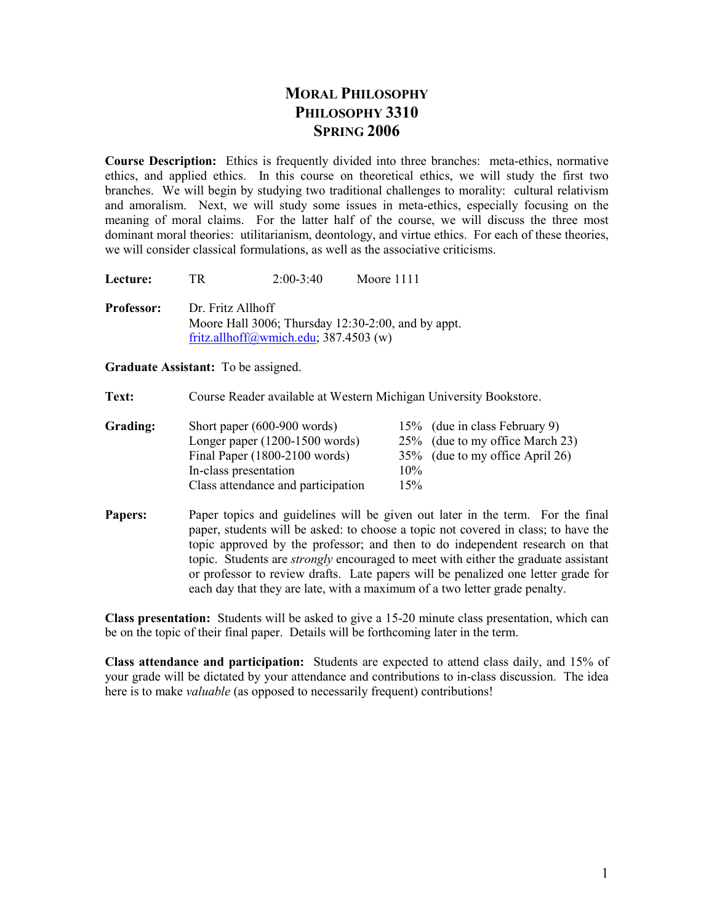### **MORAL PHILOSOPHY PHILOSOPHY 3310 SPRIG 2006**

**Course Description:** Ethics is frequently divided into three branches: meta-ethics, normative ethics, and applied ethics. In this course on theoretical ethics, we will study the first two branches. We will begin by studying two traditional challenges to morality: cultural relativism and amoralism. Next, we will study some issues in meta-ethics, especially focusing on the meaning of moral claims. For the latter half of the course, we will discuss the three most dominant moral theories: utilitarianism, deontology, and virtue ethics. For each of these theories, we will consider classical formulations, as well as the associative criticisms.

**Lecture:** TR 2:00-3:40 Moore 1111 **Professor:** Dr. Fritz Allhoff Moore Hall 3006; Thursday 12:30-2:00, and by appt. fritz.allhoff@wmich.edu; 387.4503 (w)

**Graduate Assistant:** To be assigned.

**Text:** Course Reader available at Western Michigan University Bookstore.

| Grading: | Short paper $(600-900 \text{ words})$ |     | 15% (due in class February 9)   |
|----------|---------------------------------------|-----|---------------------------------|
|          | Longer paper $(1200-1500$ words)      |     | 25% (due to my office March 23) |
|          | Final Paper $(1800-2100$ words)       |     | 35% (due to my office April 26) |
|          | In-class presentation                 | 10% |                                 |
|          | Class attendance and participation    | 15% |                                 |

**Papers:** Paper topics and guidelines will be given out later in the term. For the final paper, students will be asked: to choose a topic not covered in class; to have the topic approved by the professor; and then to do independent research on that topic. Students are *strongly* encouraged to meet with either the graduate assistant or professor to review drafts. Late papers will be penalized one letter grade for each day that they are late, with a maximum of a two letter grade penalty.

**Class presentation:** Students will be asked to give a 15-20 minute class presentation, which can be on the topic of their final paper. Details will be forthcoming later in the term.

**Class attendance and participation:** Students are expected to attend class daily, and 15% of your grade will be dictated by your attendance and contributions to in-class discussion. The idea here is to make *valuable* (as opposed to necessarily frequent) contributions!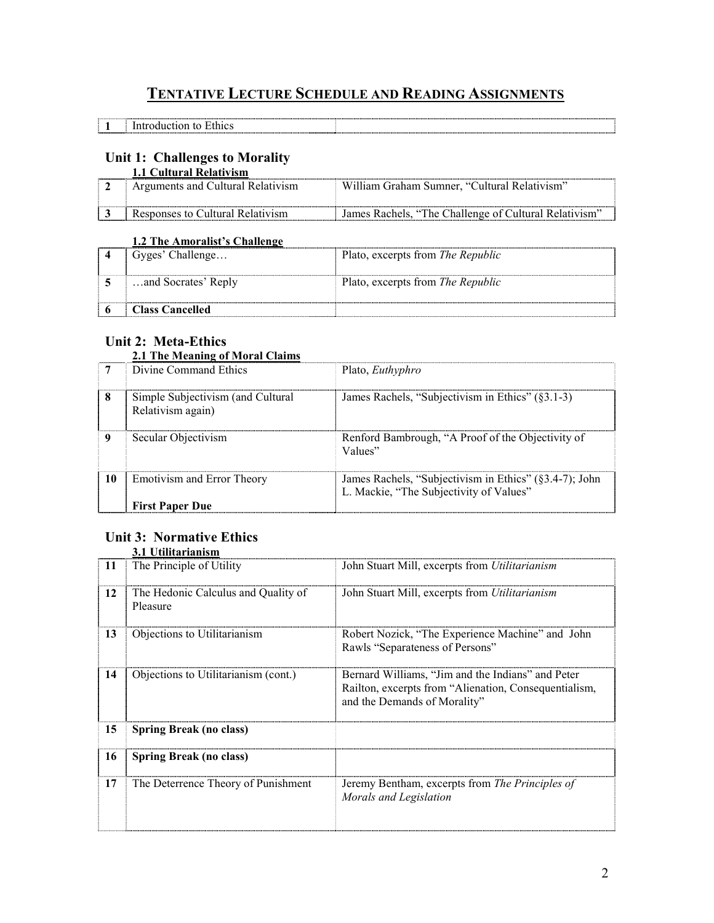## **TETATIVE LECTURE SCHEDULE AD READIG ASSIGMETS**

| 3. T<br>oduction<br>$\overline{1}$<br>to<br>thics<br>. . |  |
|----------------------------------------------------------|--|

### **Unit 1: Challenges to Morality**

| 1.1 Cultural Relativism           |                                                       |
|-----------------------------------|-------------------------------------------------------|
| Arguments and Cultural Relativism | William Graham Sumner, "Cultural Relativism"          |
|                                   |                                                       |
|                                   |                                                       |
| Responses to Cultural Relativism  | James Rachels, "The Challenge of Cultural Relativism" |

### **1.2 The Amoralist's Challenge**

| Gyges' Challenge       | Plato, excerpts from The Republic        |
|------------------------|------------------------------------------|
| and Socrates' Reply    | Plato, excerpts from <i>The Republic</i> |
| <b>Class Cancelled</b> |                                          |

### **Unit 2: Meta-Ethics**

### **2.1 The Meaning of Moral Claims**

|    | The withing of within Chain                            |                                                                                                   |
|----|--------------------------------------------------------|---------------------------------------------------------------------------------------------------|
| 7  | Divine Command Ethics                                  | Plato, <i>Euthyphro</i>                                                                           |
| 8  | Simple Subjectivism (and Cultural<br>Relativism again) | James Rachels, "Subjectivism in Ethics" (§3.1-3)                                                  |
|    | Secular Objectivism                                    | Renford Bambrough, "A Proof of the Objectivity of<br>Values"                                      |
| 10 | <b>Emotivism and Error Theory</b>                      | James Rachels, "Subjectivism in Ethics" (§3.4-7); John<br>L. Mackie, "The Subjectivity of Values" |
|    | <b>First Paper Due</b>                                 |                                                                                                   |

## **Unit 3: Normative Ethics**

# **3.1 Utilitarianism**<br>The Principle of Utility **11** The Principle of Utility John Stuart Mill, excerpts from *Utilitarianism* John Stuart Mill, excerpts from *Utilitarianism* **12** The Hedonic Calculus and Quality of Pleasure 13 Objections to Utilitarianism Robert Nozick, "The Experience Machine" and John Rawls "Separateness of Persons" **14** Objections to Utilitarianism (cont.) Bernard Williams, "Jim and the Indians" and Peter Railton, excerpts from "Alienation, Consequentialism, and the Demands of Morality" **15 Spring Break (no class) 16 Spring Break (no class) 17 The Deterrence Theory of Punishment** Jeremy Bentham, excerpts from *The Principles of Morals and Legislation*